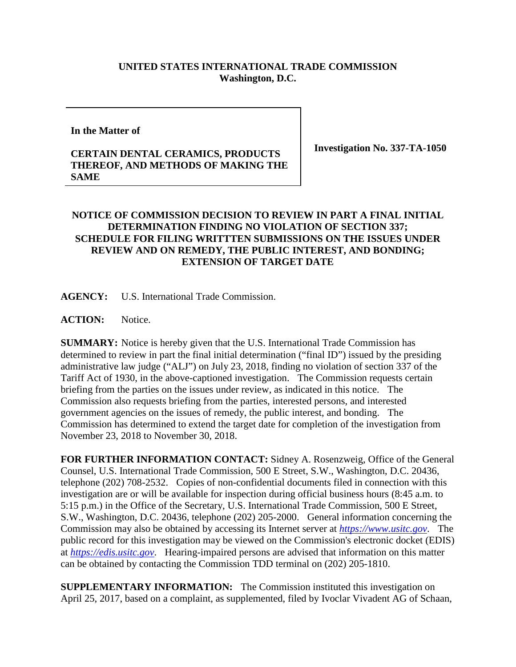## **UNITED STATES INTERNATIONAL TRADE COMMISSION Washington, D.C.**

## **In the Matter of**

## **CERTAIN DENTAL CERAMICS, PRODUCTS THEREOF, AND METHODS OF MAKING THE SAME**

**Investigation No. 337-TA-1050**

## **NOTICE OF COMMISSION DECISION TO REVIEW IN PART A FINAL INITIAL DETERMINATION FINDING NO VIOLATION OF SECTION 337; SCHEDULE FOR FILING WRITTTEN SUBMISSIONS ON THE ISSUES UNDER REVIEW AND ON REMEDY, THE PUBLIC INTEREST, AND BONDING; EXTENSION OF TARGET DATE**

**AGENCY:** U.S. International Trade Commission.

ACTION: Notice.

**SUMMARY:** Notice is hereby given that the U.S. International Trade Commission has determined to review in part the final initial determination ("final ID") issued by the presiding administrative law judge ("ALJ") on July 23, 2018, finding no violation of section 337 of the Tariff Act of 1930, in the above-captioned investigation. The Commission requests certain briefing from the parties on the issues under review, as indicated in this notice. The Commission also requests briefing from the parties, interested persons, and interested government agencies on the issues of remedy, the public interest, and bonding. The Commission has determined to extend the target date for completion of the investigation from November 23, 2018 to November 30, 2018.

**FOR FURTHER INFORMATION CONTACT:** Sidney A. Rosenzweig, Office of the General Counsel, U.S. International Trade Commission, 500 E Street, S.W., Washington, D.C. 20436, telephone (202) 708-2532. Copies of non-confidential documents filed in connection with this investigation are or will be available for inspection during official business hours (8:45 a.m. to 5:15 p.m.) in the Office of the Secretary, U.S. International Trade Commission, 500 E Street, S.W., Washington, D.C. 20436, telephone (202) 205-2000. General information concerning the Commission may also be obtained by accessing its Internet server at *[https://www.usitc.gov](https://www.usitc.gov/)*. The public record for this investigation may be viewed on the Commission's electronic docket (EDIS) at *[https://edis.usitc.gov](https://edis.usitc.gov/)*. Hearing-impaired persons are advised that information on this matter can be obtained by contacting the Commission TDD terminal on (202) 205-1810.

**SUPPLEMENTARY INFORMATION:** The Commission instituted this investigation on April 25, 2017, based on a complaint, as supplemented, filed by Ivoclar Vivadent AG of Schaan,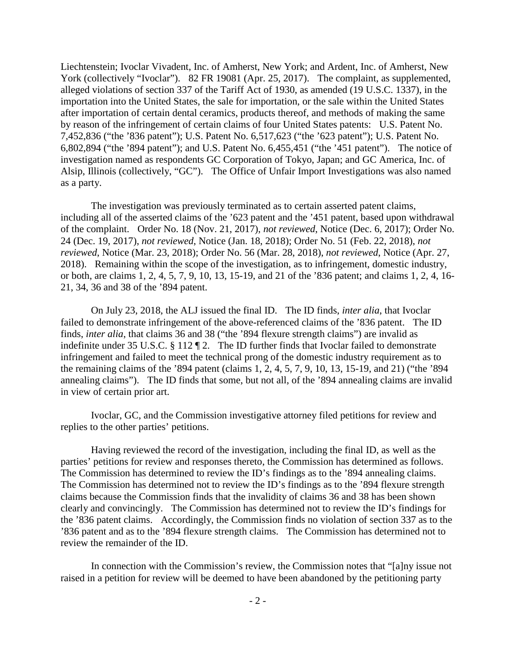Liechtenstein; Ivoclar Vivadent, Inc. of Amherst, New York; and Ardent, Inc. of Amherst, New York (collectively "Ivoclar"). 82 FR 19081 (Apr. 25, 2017). The complaint, as supplemented, alleged violations of section 337 of the Tariff Act of 1930, as amended (19 U.S.C. 1337), in the importation into the United States, the sale for importation, or the sale within the United States after importation of certain dental ceramics, products thereof, and methods of making the same by reason of the infringement of certain claims of four United States patents: U.S. Patent No. 7,452,836 ("the '836 patent"); U.S. Patent No. 6,517,623 ("the '623 patent"); U.S. Patent No. 6,802,894 ("the '894 patent"); and U.S. Patent No. 6,455,451 ("the '451 patent"). The notice of investigation named as respondents GC Corporation of Tokyo, Japan; and GC America, Inc. of Alsip, Illinois (collectively, "GC"). The Office of Unfair Import Investigations was also named as a party.

The investigation was previously terminated as to certain asserted patent claims, including all of the asserted claims of the '623 patent and the '451 patent, based upon withdrawal of the complaint. Order No. 18 (Nov. 21, 2017), *not reviewed*, Notice (Dec. 6, 2017); Order No. 24 (Dec. 19, 2017), *not reviewed*, Notice (Jan. 18, 2018); Order No. 51 (Feb. 22, 2018), *not reviewed*, Notice (Mar. 23, 2018); Order No. 56 (Mar. 28, 2018), *not reviewed*, Notice (Apr. 27, 2018). Remaining within the scope of the investigation, as to infringement, domestic industry, or both, are claims 1, 2, 4, 5, 7, 9, 10, 13, 15-19, and 21 of the '836 patent; and claims 1, 2, 4, 16- 21, 34, 36 and 38 of the '894 patent.

On July 23, 2018, the ALJ issued the final ID. The ID finds, *inter alia*, that Ivoclar failed to demonstrate infringement of the above-referenced claims of the '836 patent. The ID finds, *inter alia*, that claims 36 and 38 ("the '894 flexure strength claims") are invalid as indefinite under 35 U.S.C. § 112 ¶ 2. The ID further finds that Ivoclar failed to demonstrate infringement and failed to meet the technical prong of the domestic industry requirement as to the remaining claims of the '894 patent (claims 1, 2, 4, 5, 7, 9, 10, 13, 15-19, and 21) ("the '894 annealing claims"). The ID finds that some, but not all, of the '894 annealing claims are invalid in view of certain prior art.

Ivoclar, GC, and the Commission investigative attorney filed petitions for review and replies to the other parties' petitions.

Having reviewed the record of the investigation, including the final ID, as well as the parties' petitions for review and responses thereto, the Commission has determined as follows. The Commission has determined to review the ID's findings as to the '894 annealing claims. The Commission has determined not to review the ID's findings as to the '894 flexure strength claims because the Commission finds that the invalidity of claims 36 and 38 has been shown clearly and convincingly. The Commission has determined not to review the ID's findings for the '836 patent claims. Accordingly, the Commission finds no violation of section 337 as to the '836 patent and as to the '894 flexure strength claims. The Commission has determined not to review the remainder of the ID.

In connection with the Commission's review, the Commission notes that "[a]ny issue not raised in a petition for review will be deemed to have been abandoned by the petitioning party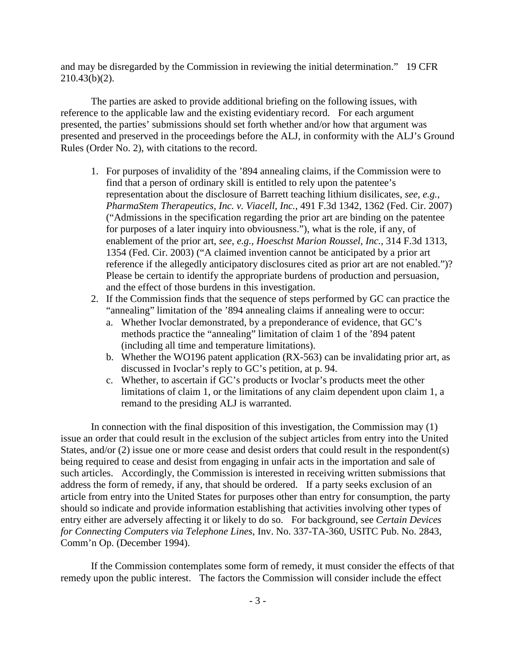and may be disregarded by the Commission in reviewing the initial determination." 19 CFR 210.43(b)(2).

The parties are asked to provide additional briefing on the following issues, with reference to the applicable law and the existing evidentiary record. For each argument presented, the parties' submissions should set forth whether and/or how that argument was presented and preserved in the proceedings before the ALJ, in conformity with the ALJ's Ground Rules (Order No. 2), with citations to the record.

- 1. For purposes of invalidity of the '894 annealing claims, if the Commission were to find that a person of ordinary skill is entitled to rely upon the patentee's representation about the disclosure of Barrett teaching lithium disilicates, *see, e.g.*, *PharmaStem Therapeutics, Inc. v. Viacell, Inc.*, 491 F.3d 1342, 1362 (Fed. Cir. 2007) ("Admissions in the specification regarding the prior art are binding on the patentee for purposes of a later inquiry into obviousness."), what is the role, if any, of enablement of the prior art, *see, e.g., Hoeschst Marion Roussel, Inc.*, 314 F.3d 1313, 1354 (Fed. Cir. 2003) ("A claimed invention cannot be anticipated by a prior art reference if the allegedly anticipatory disclosures cited as prior art are not enabled.")? Please be certain to identify the appropriate burdens of production and persuasion, and the effect of those burdens in this investigation.
- 2. If the Commission finds that the sequence of steps performed by GC can practice the "annealing" limitation of the '894 annealing claims if annealing were to occur:
	- a. Whether Ivoclar demonstrated, by a preponderance of evidence, that GC's methods practice the "annealing" limitation of claim 1 of the '894 patent (including all time and temperature limitations).
	- b. Whether the WO196 patent application (RX-563) can be invalidating prior art, as discussed in Ivoclar's reply to GC's petition, at p. 94.
	- c. Whether, to ascertain if GC's products or Ivoclar's products meet the other limitations of claim 1, or the limitations of any claim dependent upon claim 1, a remand to the presiding ALJ is warranted.

In connection with the final disposition of this investigation, the Commission may (1) issue an order that could result in the exclusion of the subject articles from entry into the United States, and/or (2) issue one or more cease and desist orders that could result in the respondent(s) being required to cease and desist from engaging in unfair acts in the importation and sale of such articles. Accordingly, the Commission is interested in receiving written submissions that address the form of remedy, if any, that should be ordered. If a party seeks exclusion of an article from entry into the United States for purposes other than entry for consumption, the party should so indicate and provide information establishing that activities involving other types of entry either are adversely affecting it or likely to do so. For background, see *Certain Devices for Connecting Computers via Telephone Lines*, Inv. No. 337-TA-360, USITC Pub. No. 2843, Comm'n Op. (December 1994).

If the Commission contemplates some form of remedy, it must consider the effects of that remedy upon the public interest. The factors the Commission will consider include the effect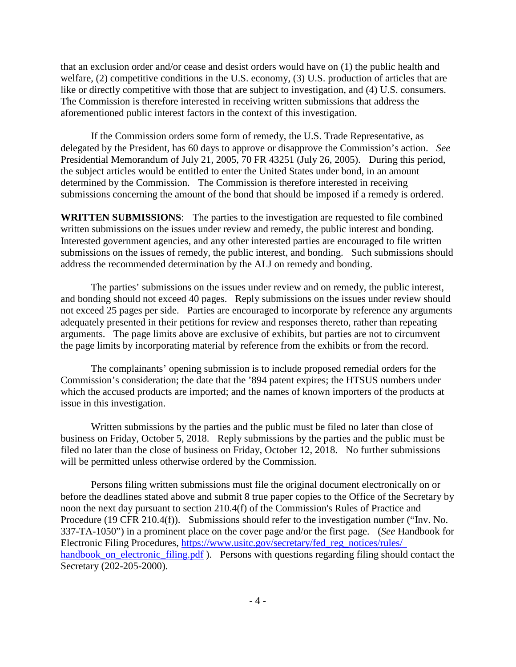that an exclusion order and/or cease and desist orders would have on (1) the public health and welfare, (2) competitive conditions in the U.S. economy, (3) U.S. production of articles that are like or directly competitive with those that are subject to investigation, and (4) U.S. consumers. The Commission is therefore interested in receiving written submissions that address the aforementioned public interest factors in the context of this investigation.

If the Commission orders some form of remedy, the U.S. Trade Representative, as delegated by the President, has 60 days to approve or disapprove the Commission's action. *See*  Presidential Memorandum of July 21, 2005, 70 FR 43251 (July 26, 2005). During this period, the subject articles would be entitled to enter the United States under bond, in an amount determined by the Commission. The Commission is therefore interested in receiving submissions concerning the amount of the bond that should be imposed if a remedy is ordered.

**WRITTEN SUBMISSIONS**:The parties to the investigation are requested to file combined written submissions on the issues under review and remedy, the public interest and bonding. Interested government agencies, and any other interested parties are encouraged to file written submissions on the issues of remedy, the public interest, and bonding. Such submissions should address the recommended determination by the ALJ on remedy and bonding.

The parties' submissions on the issues under review and on remedy, the public interest, and bonding should not exceed 40 pages. Reply submissions on the issues under review should not exceed 25 pages per side. Parties are encouraged to incorporate by reference any arguments adequately presented in their petitions for review and responses thereto, rather than repeating arguments. The page limits above are exclusive of exhibits, but parties are not to circumvent the page limits by incorporating material by reference from the exhibits or from the record.

The complainants' opening submission is to include proposed remedial orders for the Commission's consideration; the date that the '894 patent expires; the HTSUS numbers under which the accused products are imported; and the names of known importers of the products at issue in this investigation.

Written submissions by the parties and the public must be filed no later than close of business on Friday, October 5, 2018. Reply submissions by the parties and the public must be filed no later than the close of business on Friday, October 12, 2018. No further submissions will be permitted unless otherwise ordered by the Commission.

Persons filing written submissions must file the original document electronically on or before the deadlines stated above and submit 8 true paper copies to the Office of the Secretary by noon the next day pursuant to section 210.4(f) of the Commission's Rules of Practice and Procedure (19 CFR 210.4(f)). Submissions should refer to the investigation number ("Inv. No. 337-TA-1050") in a prominent place on the cover page and/or the first page. (*See* Handbook for Electronic Filing Procedures, [https://www.usitc.gov/secretary/fed\\_reg\\_notices/rules/](https://www.usitc.gov/secretary/fed_reg_notices/rules/%20handbook_on_electronic_filing.pdf)  [handbook\\_on\\_electronic\\_filing.pdf](https://www.usitc.gov/secretary/fed_reg_notices/rules/%20handbook_on_electronic_filing.pdf) ). Persons with questions regarding filing should contact the Secretary (202-205-2000).